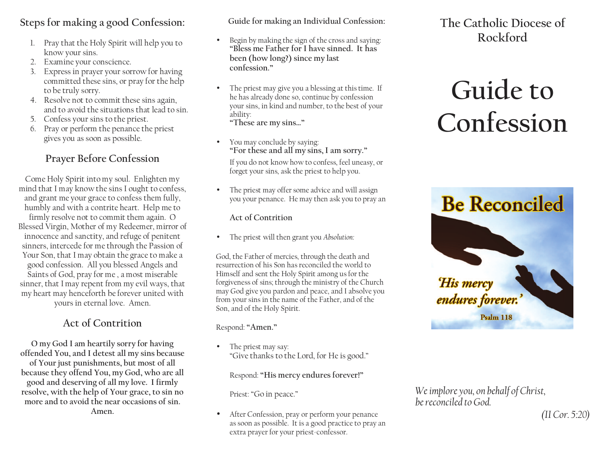# **Steps for making a good Confession:**

- 1. Pray that the Holy Spirit will help you to know your sins.
- 2. Examine your conscience.
- 3. Express in prayer your sorrow for having committed these sins, or pray for the helpto be truly sorry.
- 4. Resolve not to commit these sins again, and to avoid the situations that lead to sin.
- 5. Confess your sins to the priest.
- 6. Pray or perform the penance the priest gives you as soon as possible.

## **Prayer Before Confession**

Come Holy Spirit into my soul. Enlighten my mind that I may know the sins I ought to confess, and grant me your grace to confess them fully, humbly and with a contrite heart. Help me to firmly resolve not to commit them again. O Blessed Virgin, Mother of my Redeemer, mirror of innocence and sanctity, and refuge of penitent sinners, intercede for me through the Passion of Your Son, that I may obtain the grace to make a good confession. All you blessed Angels and Saints of God, pray for me , a most miserable sinner, that I may repent from my evil ways, that my heart may henceforth be forever united with yours in eternal love. Amen.

# **Act of Contrition**

**O my God I am heartily sorry for having offended You, and I detest all my sins because of Your just punishments, but most of all because they offend You, my God, who are all good and deserving of all my love. I firmly resolve, with the help of Your grace, to sin no more and to avoid the near occasions of sin. Amen.** 

**Guide for making an Individual Confession:**

- • Begin by making the sign of the cross and saying: **"Bless me Father for I have sinned. It hasbeen (how long?) since my lastconfession."**
- • The priest may give you a blessing at this time. If he has already done so, continue by confession your sins, in kind and number, to the best of yourability: **"These are my sins…"**
- • You may conclude by saying: **"For these and all my sins, I am sorry."** If you do not know how to confess, feel uneasy, orforget your sins, ask the priest to help you.
- • The priest may offer some advice and will assignyou your penance. He may then ask you to pray an

### **Act of Contrition**

•The priest will then grant you *Absolution:*

God, the Father of mercies, through the death and resurrection of his Son has reconciled the world to Himself and sent the Holy Spirit among us for the forgiveness of sins; through the ministry of the Church may God give you pardon and peace, and I absolve you from your sins in the name of the Father, and of the Son, and of the Holy Spirit.

Respond: **"Amen."** 

• The priest may say: "Give thanks to the Lord, for He is good."

Respond: **"His mercy endures forever!"** 

Priest: "Go in peace."

• After Confession, pray or perform your penance as soon as possible. It is a good practice to pray anextra prayer for your priest-confessor.

**The Catholic Diocese ofRockford**

# **Guide to Confession**



*We implore you, on behalf of Christ, be reconciled to God.* 

*(II Cor. 5:20)*